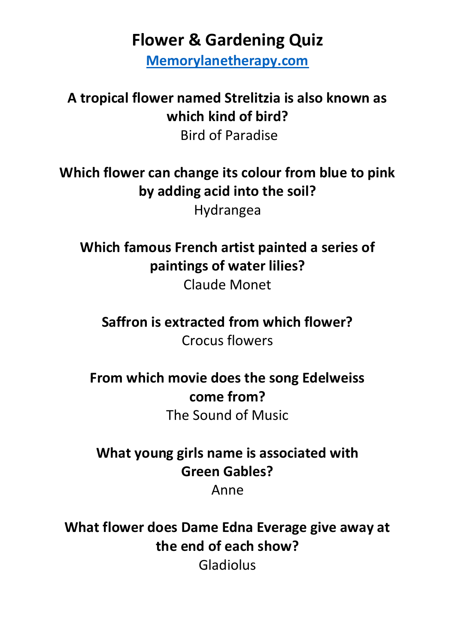**Flower & Gardening Quiz**

**[Memorylanetherapy.com](https://memorylanetherapy.com/)**

**A tropical flower named Strelitzia is also known as which kind of bird?**  Bird of Paradise

**Which flower can change its colour from blue to pink by adding acid into the soil?**  Hydrangea

**Which famous French artist painted a series of paintings of water lilies?** Claude Monet

**Saffron is extracted from which flower?** Crocus flowers

**From which movie does the song Edelweiss come from?**

The Sound of Music

**What young girls name is associated with Green Gables?**

Anne

**What flower does Dame Edna Everage give away at the end of each show?** Gladiolus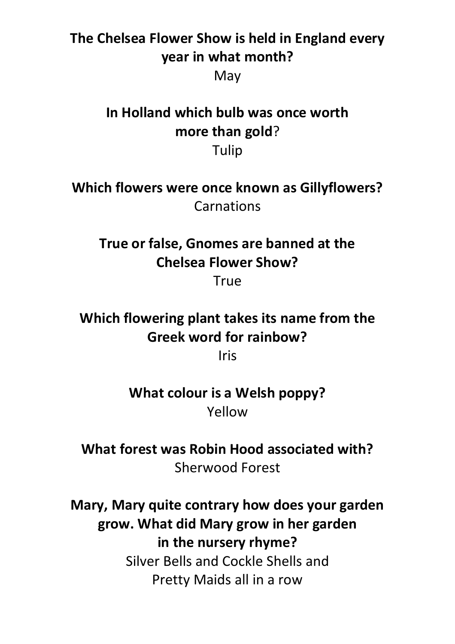## **The Chelsea Flower Show is held in England every year in what month?** May

**In Holland which bulb was once worth more than gold**? Tulip

**Which flowers were once known as Gillyflowers? Carnations** 

**True or false, Gnomes are banned at the Chelsea Flower Show?**

**True** 

**Which flowering plant takes its name from the Greek word for rainbow?**

Iris

**What colour is a Welsh poppy?** Yellow

**What forest was Robin Hood associated with?** Sherwood Forest

**Mary, Mary quite contrary how does your garden grow. What did Mary grow in her garden in the nursery rhyme?** Silver Bells and Cockle Shells and Pretty Maids all in a row